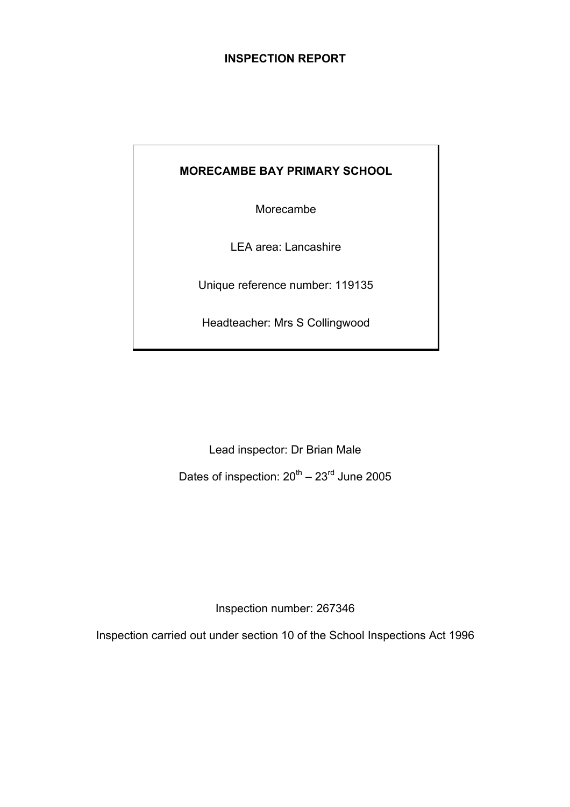## **INSPECTION REPORT**

## **MORECAMBE BAY PRIMARY SCHOOL**

Morecambe

LEA area: Lancashire

Unique reference number: 119135

Headteacher: Mrs S Collingwood

Lead inspector: Dr Brian Male Dates of inspection:  $20^{th} - 23^{rd}$  June 2005

Inspection number: 267346

Inspection carried out under section 10 of the School Inspections Act 1996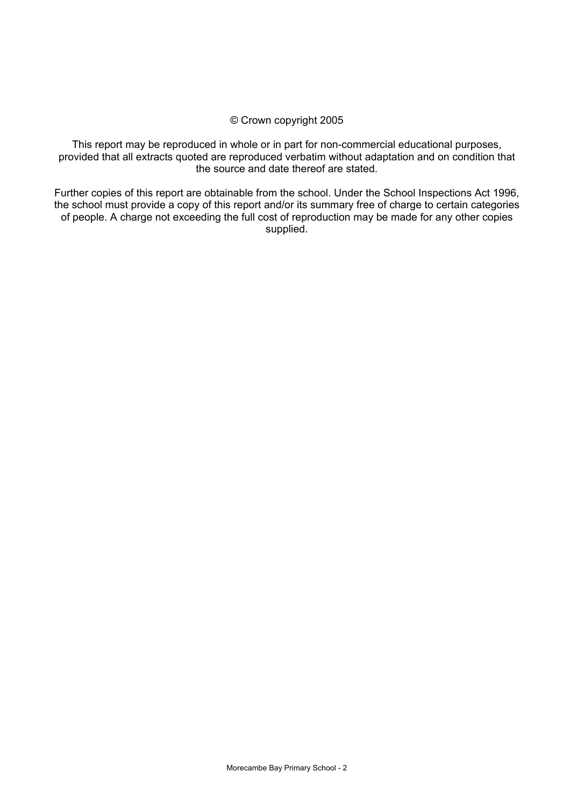### © Crown copyright 2005

This report may be reproduced in whole or in part for non-commercial educational purposes, provided that all extracts quoted are reproduced verbatim without adaptation and on condition that the source and date thereof are stated.

Further copies of this report are obtainable from the school. Under the School Inspections Act 1996, the school must provide a copy of this report and/or its summary free of charge to certain categories of people. A charge not exceeding the full cost of reproduction may be made for any other copies supplied.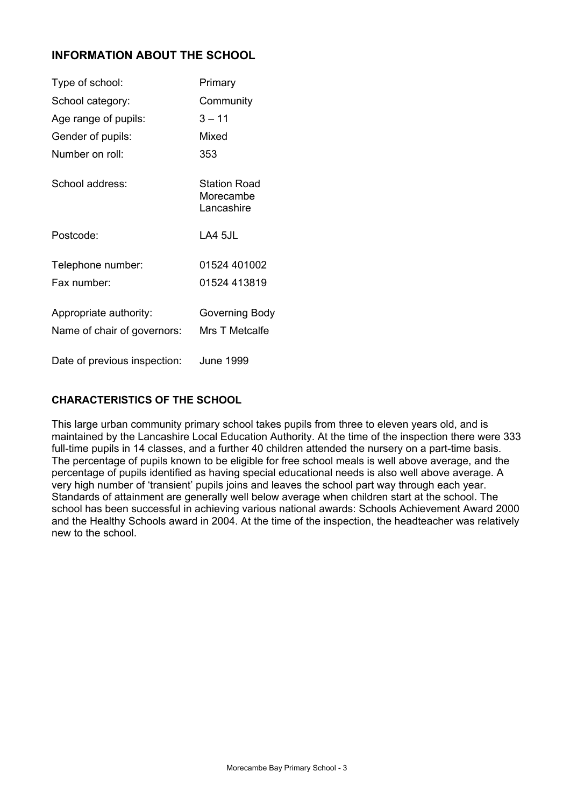## **INFORMATION ABOUT THE SCHOOL**

| Type of school:                                       | Primary                                        |
|-------------------------------------------------------|------------------------------------------------|
| School category:                                      | Community                                      |
| Age range of pupils:                                  | 3 – 11                                         |
| Gender of pupils:                                     | Mixed                                          |
| Number on roll:                                       | 353                                            |
| School address:                                       | <b>Station Road</b><br>Morecambe<br>Lancashire |
| Postcode:                                             | LA4 5JL                                        |
| Telephone number:                                     | 01524 401002                                   |
| Fax number:                                           | 01524 413819                                   |
| Appropriate authority:<br>Name of chair of governors: | Governing Body<br>Mrs T Metcalfe               |
| Date of previous inspection:                          | <b>June 1999</b>                               |

### **CHARACTERISTICS OF THE SCHOOL**

This large urban community primary school takes pupils from three to eleven years old, and is maintained by the Lancashire Local Education Authority. At the time of the inspection there were 333 full-time pupils in 14 classes, and a further 40 children attended the nursery on a part-time basis. The percentage of pupils known to be eligible for free school meals is well above average, and the percentage of pupils identified as having special educational needs is also well above average. A very high number of 'transient' pupils joins and leaves the school part way through each year. Standards of attainment are generally well below average when children start at the school. The school has been successful in achieving various national awards: Schools Achievement Award 2000 and the Healthy Schools award in 2004. At the time of the inspection, the headteacher was relatively new to the school.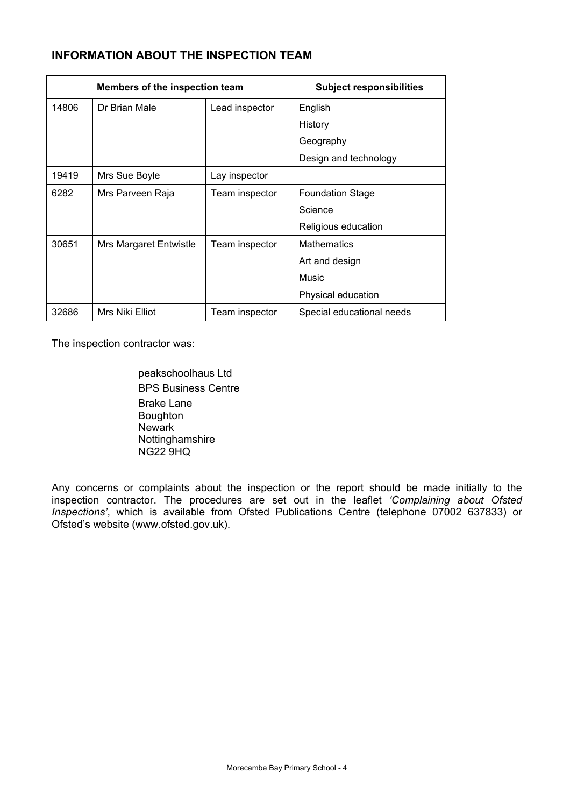## **INFORMATION ABOUT THE INSPECTION TEAM**

| Members of the inspection team |                               | <b>Subject responsibilities</b> |                           |
|--------------------------------|-------------------------------|---------------------------------|---------------------------|
| 14806                          | Dr Brian Male                 | Lead inspector                  | English                   |
|                                |                               |                                 | History                   |
|                                |                               |                                 | Geography                 |
|                                |                               |                                 | Design and technology     |
| 19419                          | Mrs Sue Boyle                 | Lay inspector                   |                           |
| 6282                           | Mrs Parveen Raja              | Team inspector                  | <b>Foundation Stage</b>   |
|                                |                               |                                 | Science                   |
|                                |                               |                                 | Religious education       |
| 30651                          | <b>Mrs Margaret Entwistle</b> | Team inspector                  | <b>Mathematics</b>        |
|                                |                               |                                 | Art and design            |
|                                |                               |                                 | Music                     |
|                                |                               |                                 | Physical education        |
| 32686                          | Mrs Niki Elliot               | Team inspector                  | Special educational needs |

The inspection contractor was:

 peakschoolhaus Ltd BPS Business Centre Brake Lane Boughton **Newark**  Nottinghamshire NG22 9HQ

Any concerns or complaints about the inspection or the report should be made initially to the inspection contractor. The procedures are set out in the leaflet *'Complaining about Ofsted Inspections'*, which is available from Ofsted Publications Centre (telephone 07002 637833) or Ofsted's website (www.ofsted.gov.uk).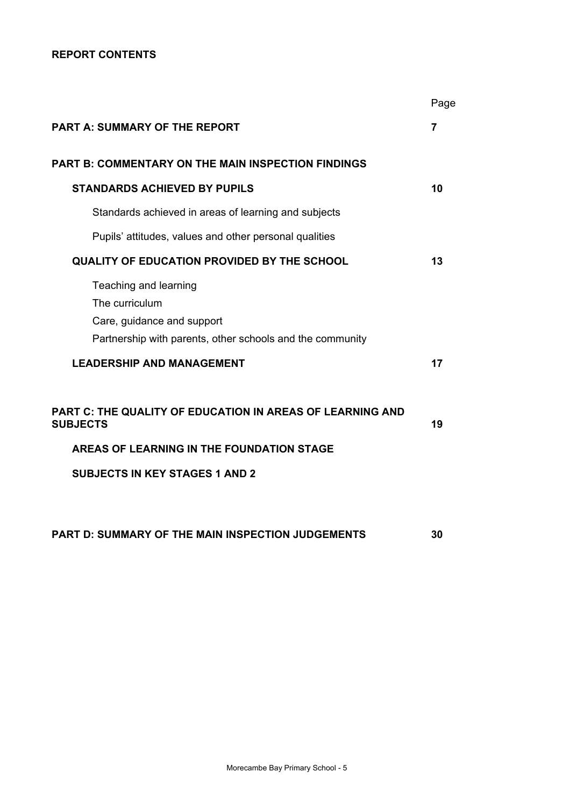### **REPORT CONTENTS**

| Page           |
|----------------|
| $\overline{7}$ |
|                |
| 10             |
|                |
|                |
| 13             |
|                |
| 17             |
| 19             |
|                |

**PART D: SUMMARY OF THE MAIN INSPECTION JUDGEMENTS 30**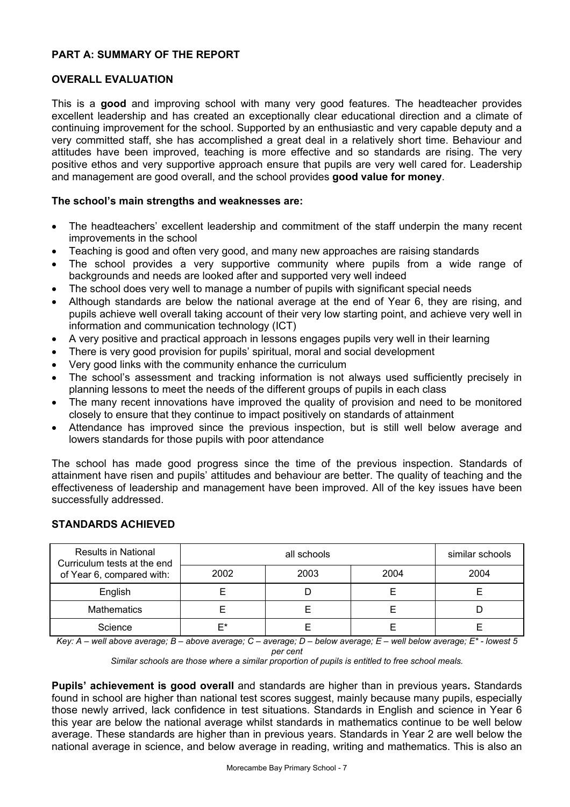### **PART A: SUMMARY OF THE REPORT**

### **OVERALL EVALUATION**

This is a **good** and improving school with many very good features. The headteacher provides excellent leadership and has created an exceptionally clear educational direction and a climate of continuing improvement for the school. Supported by an enthusiastic and very capable deputy and a very committed staff, she has accomplished a great deal in a relatively short time. Behaviour and attitudes have been improved, teaching is more effective and so standards are rising. The very positive ethos and very supportive approach ensure that pupils are very well cared for. Leadership and management are good overall, and the school provides **good value for money**.

### **The school's main strengths and weaknesses are:**

- The headteachers' excellent leadership and commitment of the staff underpin the many recent improvements in the school
- Teaching is good and often very good, and many new approaches are raising standards
- The school provides a very supportive community where pupils from a wide range of backgrounds and needs are looked after and supported very well indeed
- The school does very well to manage a number of pupils with significant special needs
- Although standards are below the national average at the end of Year 6, they are rising, and pupils achieve well overall taking account of their very low starting point, and achieve very well in information and communication technology (ICT)
- A very positive and practical approach in lessons engages pupils very well in their learning
- There is very good provision for pupils' spiritual, moral and social development
- Very good links with the community enhance the curriculum
- The school's assessment and tracking information is not always used sufficiently precisely in planning lessons to meet the needs of the different groups of pupils in each class
- The many recent innovations have improved the quality of provision and need to be monitored closely to ensure that they continue to impact positively on standards of attainment
- Attendance has improved since the previous inspection, but is still well below average and lowers standards for those pupils with poor attendance

The school has made good progress since the time of the previous inspection. Standards of attainment have risen and pupils' attitudes and behaviour are better. The quality of teaching and the effectiveness of leadership and management have been improved. All of the key issues have been successfully addressed.

### **STANDARDS ACHIEVED**

| <b>Results in National</b><br>Curriculum tests at the end |      | similar schools |      |      |
|-----------------------------------------------------------|------|-----------------|------|------|
| of Year 6, compared with:                                 | 2002 | 2003            | 2004 | 2004 |
| English                                                   |      |                 |      |      |
| <b>Mathematics</b>                                        |      |                 |      |      |
| Science                                                   | ⊏*   |                 |      |      |

*Key: A – well above average; B – above average; C – average; D – below average; E – well below average; E\* - lowest 5 per cent* 

*Similar schools are those where a similar proportion of pupils is entitled to free school meals.* 

**Pupils' achievement is good overall** and standards are higher than in previous years**.** Standards found in school are higher than national test scores suggest, mainly because many pupils, especially those newly arrived, lack confidence in test situations. Standards in English and science in Year 6 this year are below the national average whilst standards in mathematics continue to be well below average. These standards are higher than in previous years. Standards in Year 2 are well below the national average in science, and below average in reading, writing and mathematics. This is also an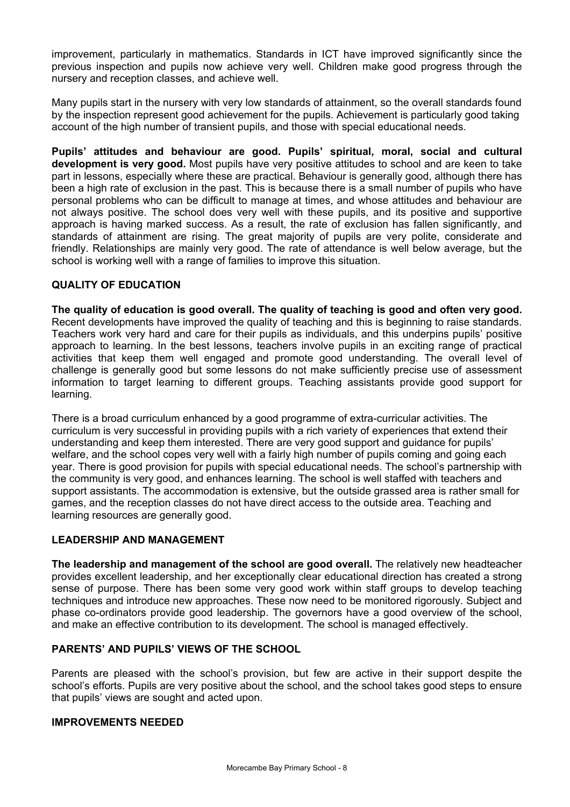improvement, particularly in mathematics. Standards in ICT have improved significantly since the previous inspection and pupils now achieve very well. Children make good progress through the nursery and reception classes, and achieve well.

Many pupils start in the nursery with very low standards of attainment, so the overall standards found by the inspection represent good achievement for the pupils. Achievement is particularly good taking account of the high number of transient pupils, and those with special educational needs.

**Pupils' attitudes and behaviour are good. Pupils' spiritual, moral, social and cultural development is very good.** Most pupils have very positive attitudes to school and are keen to take part in lessons, especially where these are practical. Behaviour is generally good, although there has been a high rate of exclusion in the past. This is because there is a small number of pupils who have personal problems who can be difficult to manage at times, and whose attitudes and behaviour are not always positive. The school does very well with these pupils, and its positive and supportive approach is having marked success. As a result, the rate of exclusion has fallen significantly, and standards of attainment are rising. The great majority of pupils are very polite, considerate and friendly. Relationships are mainly very good. The rate of attendance is well below average, but the school is working well with a range of families to improve this situation.

### **QUALITY OF EDUCATION**

**The quality of education is good overall. The quality of teaching is good and often very good.**  Recent developments have improved the quality of teaching and this is beginning to raise standards. Teachers work very hard and care for their pupils as individuals, and this underpins pupils' positive approach to learning. In the best lessons, teachers involve pupils in an exciting range of practical activities that keep them well engaged and promote good understanding. The overall level of challenge is generally good but some lessons do not make sufficiently precise use of assessment information to target learning to different groups. Teaching assistants provide good support for learning.

There is a broad curriculum enhanced by a good programme of extra-curricular activities. The curriculum is very successful in providing pupils with a rich variety of experiences that extend their understanding and keep them interested. There are very good support and guidance for pupils' welfare, and the school copes very well with a fairly high number of pupils coming and going each year. There is good provision for pupils with special educational needs. The school's partnership with the community is very good, and enhances learning. The school is well staffed with teachers and support assistants. The accommodation is extensive, but the outside grassed area is rather small for games, and the reception classes do not have direct access to the outside area. Teaching and learning resources are generally good.

### **LEADERSHIP AND MANAGEMENT**

**The leadership and management of the school are good overall.** The relatively new headteacher provides excellent leadership, and her exceptionally clear educational direction has created a strong sense of purpose. There has been some very good work within staff groups to develop teaching techniques and introduce new approaches. These now need to be monitored rigorously. Subject and phase co-ordinators provide good leadership. The governors have a good overview of the school, and make an effective contribution to its development. The school is managed effectively.

### **PARENTS' AND PUPILS' VIEWS OF THE SCHOOL**

Parents are pleased with the school's provision, but few are active in their support despite the school's efforts. Pupils are very positive about the school, and the school takes good steps to ensure that pupils' views are sought and acted upon.

#### **IMPROVEMENTS NEEDED**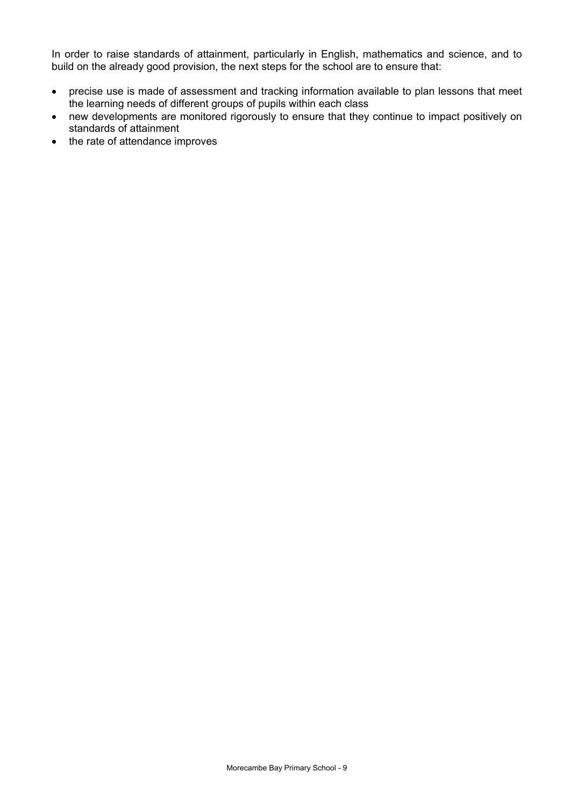In order to raise standards of attainment, particularly in English, mathematics and science, and to build on the already good provision, the next steps for the school are to ensure that:

- precise use is made of assessment and tracking information available to plan lessons that meet the learning needs of different groups of pupils within each class
- new developments are monitored rigorously to ensure that they continue to impact positively on standards of attainment
- the rate of attendance improves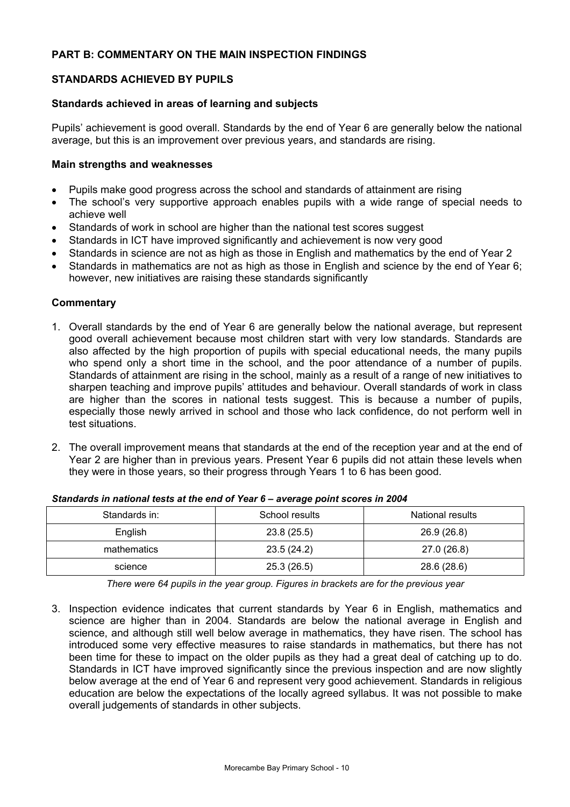### **PART B: COMMENTARY ON THE MAIN INSPECTION FINDINGS**

### **STANDARDS ACHIEVED BY PUPILS**

### **Standards achieved in areas of learning and subjects**

Pupils' achievement is good overall. Standards by the end of Year 6 are generally below the national average, but this is an improvement over previous years, and standards are rising.

### **Main strengths and weaknesses**

- Pupils make good progress across the school and standards of attainment are rising
- The school's very supportive approach enables pupils with a wide range of special needs to achieve well
- Standards of work in school are higher than the national test scores suggest
- Standards in ICT have improved significantly and achievement is now very good
- Standards in science are not as high as those in English and mathematics by the end of Year 2
- Standards in mathematics are not as high as those in English and science by the end of Year 6; however, new initiatives are raising these standards significantly

### **Commentary**

- 1. Overall standards by the end of Year 6 are generally below the national average, but represent good overall achievement because most children start with very low standards. Standards are also affected by the high proportion of pupils with special educational needs, the many pupils who spend only a short time in the school, and the poor attendance of a number of pupils. Standards of attainment are rising in the school, mainly as a result of a range of new initiatives to sharpen teaching and improve pupils' attitudes and behaviour. Overall standards of work in class are higher than the scores in national tests suggest. This is because a number of pupils, especially those newly arrived in school and those who lack confidence, do not perform well in test situations.
- 2. The overall improvement means that standards at the end of the reception year and at the end of Year 2 are higher than in previous years. Present Year 6 pupils did not attain these levels when they were in those years, so their progress through Years 1 to 6 has been good.

| Standards in: | School results | National results |
|---------------|----------------|------------------|
| English       | 23.8(25.5)     | 26.9 (26.8)      |
| mathematics   | 23.5(24.2)     | 27.0 (26.8)      |
| science       | 25.3(26.5)     | 28.6 (28.6)      |

*Standards in national tests at the end of Year 6 – average point scores in 2004* 

*There were 64 pupils in the year group. Figures in brackets are for the previous year* 

3. Inspection evidence indicates that current standards by Year 6 in English, mathematics and science are higher than in 2004. Standards are below the national average in English and science, and although still well below average in mathematics, they have risen. The school has introduced some very effective measures to raise standards in mathematics, but there has not been time for these to impact on the older pupils as they had a great deal of catching up to do. Standards in ICT have improved significantly since the previous inspection and are now slightly below average at the end of Year 6 and represent very good achievement. Standards in religious education are below the expectations of the locally agreed syllabus. It was not possible to make overall judgements of standards in other subjects.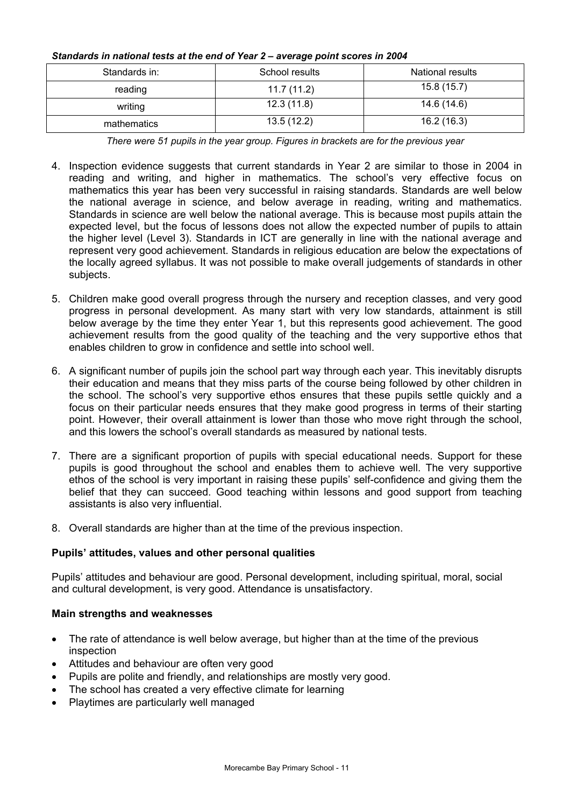| Standards in: | School results | National results |
|---------------|----------------|------------------|
| reading       | 11.7(11.2)     | 15.8 (15.7)      |
| writing       | 12.3(11.8)     | 14.6 (14.6)      |
| mathematics   | 13.5(12.2)     | 16.2(16.3)       |

## *Standards in national tests at the end of Year 2 – average point scores in 2004*

*There were 51 pupils in the year group. Figures in brackets are for the previous year* 

- 4. Inspection evidence suggests that current standards in Year 2 are similar to those in 2004 in reading and writing, and higher in mathematics. The school's very effective focus on mathematics this year has been very successful in raising standards. Standards are well below the national average in science, and below average in reading, writing and mathematics. Standards in science are well below the national average. This is because most pupils attain the expected level, but the focus of lessons does not allow the expected number of pupils to attain the higher level (Level 3). Standards in ICT are generally in line with the national average and represent very good achievement. Standards in religious education are below the expectations of the locally agreed syllabus. It was not possible to make overall judgements of standards in other subjects.
- 5. Children make good overall progress through the nursery and reception classes, and very good progress in personal development. As many start with very low standards, attainment is still below average by the time they enter Year 1, but this represents good achievement. The good achievement results from the good quality of the teaching and the very supportive ethos that enables children to grow in confidence and settle into school well.
- 6. A significant number of pupils join the school part way through each year. This inevitably disrupts their education and means that they miss parts of the course being followed by other children in the school. The school's very supportive ethos ensures that these pupils settle quickly and a focus on their particular needs ensures that they make good progress in terms of their starting point. However, their overall attainment is lower than those who move right through the school, and this lowers the school's overall standards as measured by national tests.
- 7. There are a significant proportion of pupils with special educational needs. Support for these pupils is good throughout the school and enables them to achieve well. The very supportive ethos of the school is very important in raising these pupils' self-confidence and giving them the belief that they can succeed. Good teaching within lessons and good support from teaching assistants is also very influential.
- 8. Overall standards are higher than at the time of the previous inspection.

### **Pupils' attitudes, values and other personal qualities**

Pupils' attitudes and behaviour are good. Personal development, including spiritual, moral, social and cultural development, is very good. Attendance is unsatisfactory.

### **Main strengths and weaknesses**

- The rate of attendance is well below average, but higher than at the time of the previous inspection
- Attitudes and behaviour are often very good
- Pupils are polite and friendly, and relationships are mostly very good.
- The school has created a very effective climate for learning
- Playtimes are particularly well managed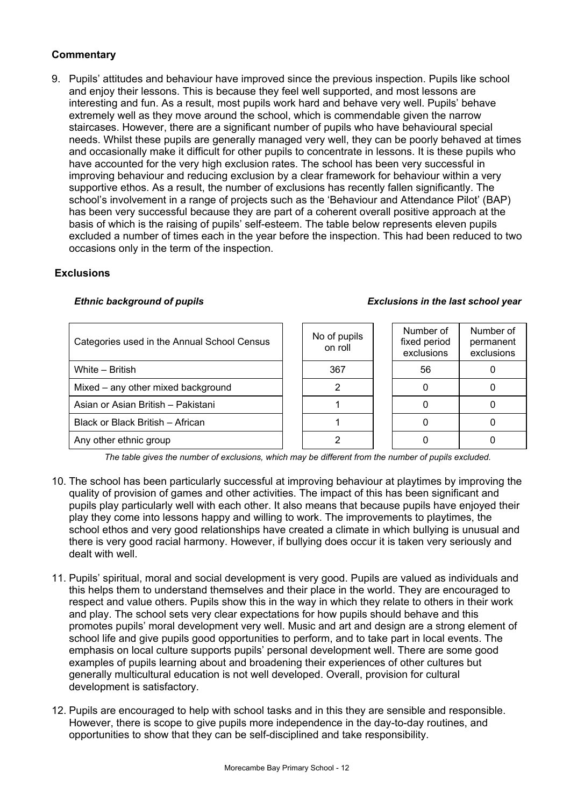### **Commentary**

9. Pupils' attitudes and behaviour have improved since the previous inspection. Pupils like school and enjoy their lessons. This is because they feel well supported, and most lessons are interesting and fun. As a result, most pupils work hard and behave very well. Pupils' behave extremely well as they move around the school, which is commendable given the narrow staircases. However, there are a significant number of pupils who have behavioural special needs. Whilst these pupils are generally managed very well, they can be poorly behaved at times and occasionally make it difficult for other pupils to concentrate in lessons. It is these pupils who have accounted for the very high exclusion rates. The school has been very successful in improving behaviour and reducing exclusion by a clear framework for behaviour within a very supportive ethos. As a result, the number of exclusions has recently fallen significantly. The school's involvement in a range of projects such as the 'Behaviour and Attendance Pilot' (BAP) has been very successful because they are part of a coherent overall positive approach at the basis of which is the raising of pupils' self-esteem. The table below represents eleven pupils excluded a number of times each in the year before the inspection. This had been reduced to two occasions only in the term of the inspection.

### **Exclusions**

#### *Ethnic background of pupils Exclusions in the last school year*

#### Categories used in the Annual School Census No of pupils on roll Number of fixed period exclusions Number of permanent exclusions White – British  $\begin{array}{ccc} 1 & 1 & 367 & 1 & 56 \end{array}$  0 Mixed – any other mixed background 2 0 0 Asian or Asian British – Pakistani 1 0 0 Black or Black British – African 1 0 0 Any other ethnic group 2 0 0

*The table gives the number of exclusions, which may be different from the number of pupils excluded.*

- 10. The school has been particularly successful at improving behaviour at playtimes by improving the quality of provision of games and other activities. The impact of this has been significant and pupils play particularly well with each other. It also means that because pupils have enjoyed their play they come into lessons happy and willing to work. The improvements to playtimes, the school ethos and very good relationships have created a climate in which bullying is unusual and there is very good racial harmony. However, if bullying does occur it is taken very seriously and dealt with well.
- 11. Pupils' spiritual, moral and social development is very good. Pupils are valued as individuals and this helps them to understand themselves and their place in the world. They are encouraged to respect and value others. Pupils show this in the way in which they relate to others in their work and play. The school sets very clear expectations for how pupils should behave and this promotes pupils' moral development very well. Music and art and design are a strong element of school life and give pupils good opportunities to perform, and to take part in local events. The emphasis on local culture supports pupils' personal development well. There are some good examples of pupils learning about and broadening their experiences of other cultures but generally multicultural education is not well developed. Overall, provision for cultural development is satisfactory.
- 12. Pupils are encouraged to help with school tasks and in this they are sensible and responsible. However, there is scope to give pupils more independence in the day-to-day routines, and opportunities to show that they can be self-disciplined and take responsibility.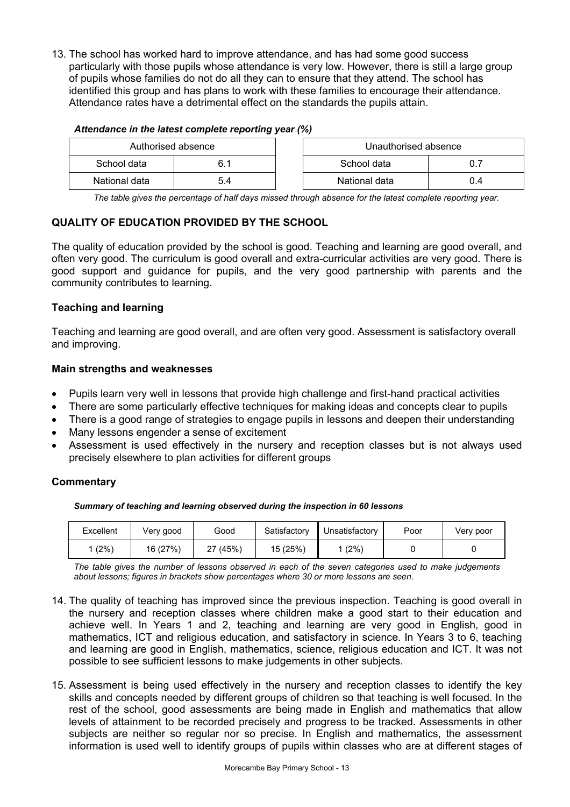13. The school has worked hard to improve attendance, and has had some good success particularly with those pupils whose attendance is very low. However, there is still a large group of pupils whose families do not do all they can to ensure that they attend. The school has identified this group and has plans to work with these families to encourage their attendance. Attendance rates have a detrimental effect on the standards the pupils attain.

#### *Attendance in the latest complete reporting year (%)*

| Authorised absence |     | Unauthorised absence |     |
|--------------------|-----|----------------------|-----|
| School data        |     | School data          |     |
| National data      | 5.4 | National data        | 0.4 |

*The table gives the percentage of half days missed through absence for the latest complete reporting year.*

### **QUALITY OF EDUCATION PROVIDED BY THE SCHOOL**

The quality of education provided by the school is good. Teaching and learning are good overall, and often very good. The curriculum is good overall and extra-curricular activities are very good. There is good support and guidance for pupils, and the very good partnership with parents and the community contributes to learning.

### **Teaching and learning**

Teaching and learning are good overall, and are often very good. Assessment is satisfactory overall and improving.

### **Main strengths and weaknesses**

- Pupils learn very well in lessons that provide high challenge and first-hand practical activities
- There are some particularly effective techniques for making ideas and concepts clear to pupils
- There is a good range of strategies to engage pupils in lessons and deepen their understanding
- Many lessons engender a sense of excitement
- Assessment is used effectively in the nursery and reception classes but is not always used precisely elsewhere to plan activities for different groups

### **Commentary**

*Summary of teaching and learning observed during the inspection in 60 lessons*

| Excellent | Very good | Good     | Satisfactory | Unsatisfactory | Poor | Very poor |
|-----------|-----------|----------|--------------|----------------|------|-----------|
| (2%)      | 16 (27%)  | 27 (45%) | 15 (25%)     | (2%)           |      |           |

*The table gives the number of lessons observed in each of the seven categories used to make judgements about lessons; figures in brackets show percentages where 30 or more lessons are seen.* 

- 14. The quality of teaching has improved since the previous inspection. Teaching is good overall in the nursery and reception classes where children make a good start to their education and achieve well. In Years 1 and 2, teaching and learning are very good in English, good in mathematics, ICT and religious education, and satisfactory in science. In Years 3 to 6, teaching and learning are good in English, mathematics, science, religious education and ICT. It was not possible to see sufficient lessons to make judgements in other subjects.
- 15. Assessment is being used effectively in the nursery and reception classes to identify the key skills and concepts needed by different groups of children so that teaching is well focused. In the rest of the school, good assessments are being made in English and mathematics that allow levels of attainment to be recorded precisely and progress to be tracked. Assessments in other subjects are neither so regular nor so precise. In English and mathematics, the assessment information is used well to identify groups of pupils within classes who are at different stages of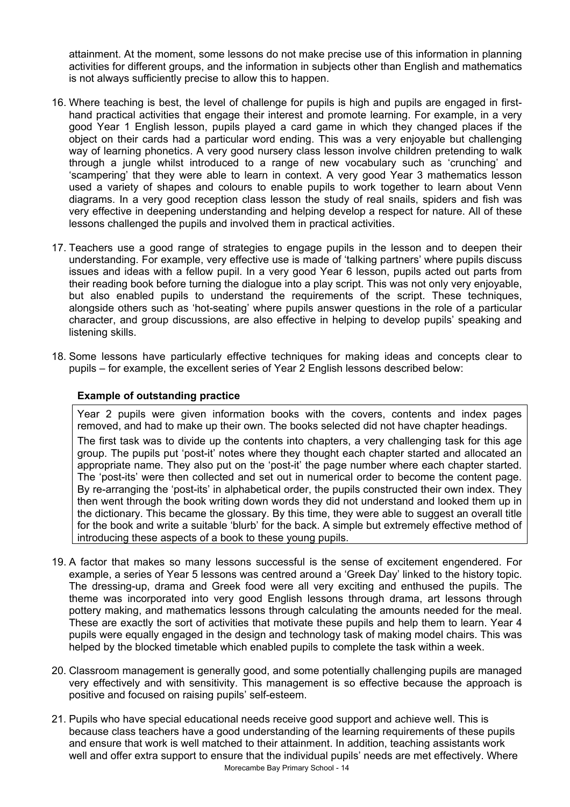attainment. At the moment, some lessons do not make precise use of this information in planning activities for different groups, and the information in subjects other than English and mathematics is not always sufficiently precise to allow this to happen.

- 16. Where teaching is best, the level of challenge for pupils is high and pupils are engaged in firsthand practical activities that engage their interest and promote learning. For example, in a very good Year 1 English lesson, pupils played a card game in which they changed places if the object on their cards had a particular word ending. This was a very enjoyable but challenging way of learning phonetics. A very good nursery class lesson involve children pretending to walk through a jungle whilst introduced to a range of new vocabulary such as 'crunching' and 'scampering' that they were able to learn in context. A very good Year 3 mathematics lesson used a variety of shapes and colours to enable pupils to work together to learn about Venn diagrams. In a very good reception class lesson the study of real snails, spiders and fish was very effective in deepening understanding and helping develop a respect for nature. All of these lessons challenged the pupils and involved them in practical activities.
- 17. Teachers use a good range of strategies to engage pupils in the lesson and to deepen their understanding. For example, very effective use is made of 'talking partners' where pupils discuss issues and ideas with a fellow pupil. In a very good Year 6 lesson, pupils acted out parts from their reading book before turning the dialogue into a play script. This was not only very enjoyable, but also enabled pupils to understand the requirements of the script. These techniques, alongside others such as 'hot-seating' where pupils answer questions in the role of a particular character, and group discussions, are also effective in helping to develop pupils' speaking and listening skills.
- 18. Some lessons have particularly effective techniques for making ideas and concepts clear to pupils – for example, the excellent series of Year 2 English lessons described below:

### **Example of outstanding practice**

Year 2 pupils were given information books with the covers, contents and index pages removed, and had to make up their own. The books selected did not have chapter headings.

The first task was to divide up the contents into chapters, a very challenging task for this age group. The pupils put 'post-it' notes where they thought each chapter started and allocated an appropriate name. They also put on the 'post-it' the page number where each chapter started. The 'post-its' were then collected and set out in numerical order to become the content page. By re-arranging the 'post-its' in alphabetical order, the pupils constructed their own index. They then went through the book writing down words they did not understand and looked them up in the dictionary. This became the glossary. By this time, they were able to suggest an overall title for the book and write a suitable 'blurb' for the back. A simple but extremely effective method of introducing these aspects of a book to these young pupils.

- 19. A factor that makes so many lessons successful is the sense of excitement engendered. For example, a series of Year 5 lessons was centred around a 'Greek Day' linked to the history topic. The dressing-up, drama and Greek food were all very exciting and enthused the pupils. The theme was incorporated into very good English lessons through drama, art lessons through pottery making, and mathematics lessons through calculating the amounts needed for the meal. These are exactly the sort of activities that motivate these pupils and help them to learn. Year 4 pupils were equally engaged in the design and technology task of making model chairs. This was helped by the blocked timetable which enabled pupils to complete the task within a week.
- 20. Classroom management is generally good, and some potentially challenging pupils are managed very effectively and with sensitivity. This management is so effective because the approach is positive and focused on raising pupils' self-esteem.
- 21. Pupils who have special educational needs receive good support and achieve well. This is because class teachers have a good understanding of the learning requirements of these pupils and ensure that work is well matched to their attainment. In addition, teaching assistants work well and offer extra support to ensure that the individual pupils' needs are met effectively. Where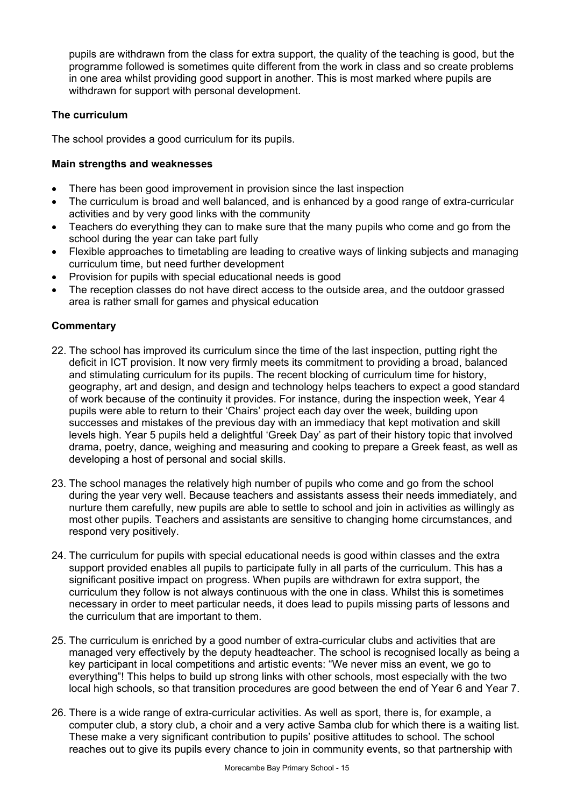pupils are withdrawn from the class for extra support, the quality of the teaching is good, but the programme followed is sometimes quite different from the work in class and so create problems in one area whilst providing good support in another. This is most marked where pupils are withdrawn for support with personal development.

### **The curriculum**

The school provides a good curriculum for its pupils.

### **Main strengths and weaknesses**

- There has been good improvement in provision since the last inspection
- The curriculum is broad and well balanced, and is enhanced by a good range of extra-curricular activities and by very good links with the community
- Teachers do everything they can to make sure that the many pupils who come and go from the school during the year can take part fully
- Flexible approaches to timetabling are leading to creative ways of linking subjects and managing curriculum time, but need further development
- Provision for pupils with special educational needs is good
- The reception classes do not have direct access to the outside area, and the outdoor grassed area is rather small for games and physical education

- 22. The school has improved its curriculum since the time of the last inspection, putting right the deficit in ICT provision. It now very firmly meets its commitment to providing a broad, balanced and stimulating curriculum for its pupils. The recent blocking of curriculum time for history, geography, art and design, and design and technology helps teachers to expect a good standard of work because of the continuity it provides. For instance, during the inspection week, Year 4 pupils were able to return to their 'Chairs' project each day over the week, building upon successes and mistakes of the previous day with an immediacy that kept motivation and skill levels high. Year 5 pupils held a delightful 'Greek Day' as part of their history topic that involved drama, poetry, dance, weighing and measuring and cooking to prepare a Greek feast, as well as developing a host of personal and social skills.
- 23. The school manages the relatively high number of pupils who come and go from the school during the year very well. Because teachers and assistants assess their needs immediately, and nurture them carefully, new pupils are able to settle to school and join in activities as willingly as most other pupils*.* Teachers and assistants are sensitive to changing home circumstances, and respond very positively.
- 24. The curriculum for pupils with special educational needs is good within classes and the extra support provided enables all pupils to participate fully in all parts of the curriculum. This has a significant positive impact on progress. When pupils are withdrawn for extra support, the curriculum they follow is not always continuous with the one in class. Whilst this is sometimes necessary in order to meet particular needs, it does lead to pupils missing parts of lessons and the curriculum that are important to them.
- 25. The curriculum is enriched by a good number of extra-curricular clubs and activities that are managed very effectively by the deputy headteacher. The school is recognised locally as being a key participant in local competitions and artistic events: "We never miss an event, we go to everything"! This helps to build up strong links with other schools, most especially with the two local high schools, so that transition procedures are good between the end of Year 6 and Year 7.
- 26. There is a wide range of extra-curricular activities. As well as sport, there is, for example, a computer club, a story club, a choir and a very active Samba club for which there is a waiting list. These make a very significant contribution to pupils' positive attitudes to school. The school reaches out to give its pupils every chance to join in community events, so that partnership with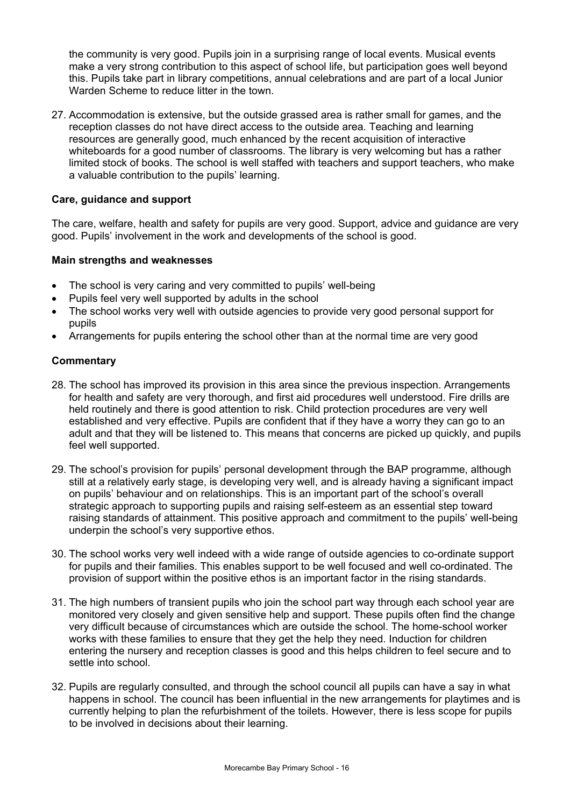the community is very good. Pupils join in a surprising range of local events. Musical events make a very strong contribution to this aspect of school life, but participation goes well beyond this. Pupils take part in library competitions, annual celebrations and are part of a local Junior Warden Scheme to reduce litter in the town.

27. Accommodation is extensive, but the outside grassed area is rather small for games, and the reception classes do not have direct access to the outside area. Teaching and learning resources are generally good, much enhanced by the recent acquisition of interactive whiteboards for a good number of classrooms. The library is very welcoming but has a rather limited stock of books. The school is well staffed with teachers and support teachers, who make a valuable contribution to the pupils' learning.

### **Care, guidance and support**

The care, welfare, health and safety for pupils are very good. Support, advice and guidance are very good. Pupils' involvement in the work and developments of the school is good.

#### **Main strengths and weaknesses**

- The school is very caring and very committed to pupils' well-being
- Pupils feel very well supported by adults in the school
- The school works very well with outside agencies to provide very good personal support for pupils
- Arrangements for pupils entering the school other than at the normal time are very good

- 28. The school has improved its provision in this area since the previous inspection. Arrangements for health and safety are very thorough, and first aid procedures well understood. Fire drills are held routinely and there is good attention to risk. Child protection procedures are very well established and very effective. Pupils are confident that if they have a worry they can go to an adult and that they will be listened to. This means that concerns are picked up quickly, and pupils feel well supported.
- 29. The school's provision for pupils' personal development through the BAP programme, although still at a relatively early stage, is developing very well, and is already having a significant impact on pupils' behaviour and on relationships. This is an important part of the school's overall strategic approach to supporting pupils and raising self-esteem as an essential step toward raising standards of attainment. This positive approach and commitment to the pupils' well-being underpin the school's very supportive ethos.
- 30. The school works very well indeed with a wide range of outside agencies to co-ordinate support for pupils and their families. This enables support to be well focused and well co-ordinated. The provision of support within the positive ethos is an important factor in the rising standards.
- 31. The high numbers of transient pupils who join the school part way through each school year are monitored very closely and given sensitive help and support. These pupils often find the change very difficult because of circumstances which are outside the school. The home-school worker works with these families to ensure that they get the help they need. Induction for children entering the nursery and reception classes is good and this helps children to feel secure and to settle into school.
- 32. Pupils are regularly consulted, and through the school council all pupils can have a say in what happens in school. The council has been influential in the new arrangements for playtimes and is currently helping to plan the refurbishment of the toilets. However, there is less scope for pupils to be involved in decisions about their learning.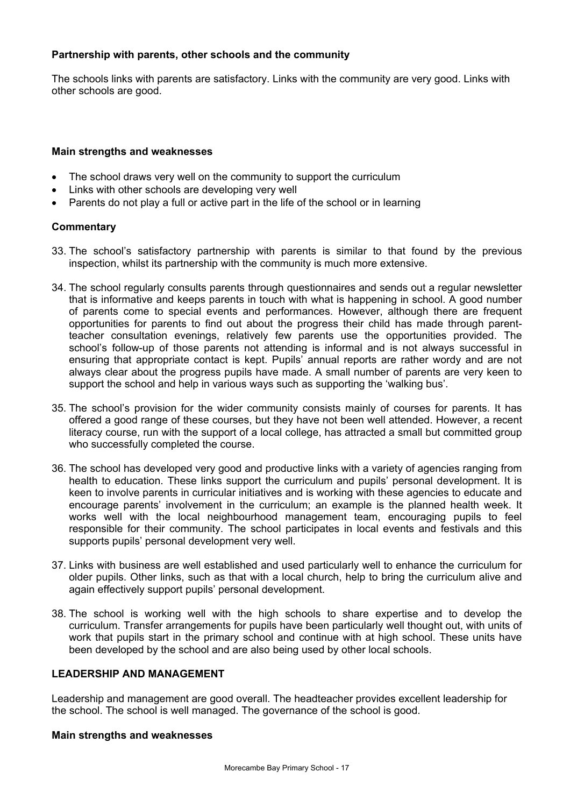### **Partnership with parents, other schools and the community**

The schools links with parents are satisfactory. Links with the community are very good. Links with other schools are good.

### **Main strengths and weaknesses**

- The school draws very well on the community to support the curriculum
- Links with other schools are developing very well
- Parents do not play a full or active part in the life of the school or in learning

### **Commentary**

- 33. The school's satisfactory partnership with parents is similar to that found by the previous inspection, whilst its partnership with the community is much more extensive.
- 34. The school regularly consults parents through questionnaires and sends out a regular newsletter that is informative and keeps parents in touch with what is happening in school. A good number of parents come to special events and performances. However, although there are frequent opportunities for parents to find out about the progress their child has made through parentteacher consultation evenings, relatively few parents use the opportunities provided. The school's follow-up of those parents not attending is informal and is not always successful in ensuring that appropriate contact is kept. Pupils' annual reports are rather wordy and are not always clear about the progress pupils have made. A small number of parents are very keen to support the school and help in various ways such as supporting the 'walking bus'.
- 35. The school's provision for the wider community consists mainly of courses for parents. It has offered a good range of these courses, but they have not been well attended. However, a recent literacy course, run with the support of a local college, has attracted a small but committed group who successfully completed the course.
- 36. The school has developed very good and productive links with a variety of agencies ranging from health to education. These links support the curriculum and pupils' personal development. It is keen to involve parents in curricular initiatives and is working with these agencies to educate and encourage parents' involvement in the curriculum; an example is the planned health week. It works well with the local neighbourhood management team, encouraging pupils to feel responsible for their community. The school participates in local events and festivals and this supports pupils' personal development very well.
- 37. Links with business are well established and used particularly well to enhance the curriculum for older pupils. Other links, such as that with a local church, help to bring the curriculum alive and again effectively support pupils' personal development.
- 38. The school is working well with the high schools to share expertise and to develop the curriculum. Transfer arrangements for pupils have been particularly well thought out, with units of work that pupils start in the primary school and continue with at high school. These units have been developed by the school and are also being used by other local schools.

### **LEADERSHIP AND MANAGEMENT**

Leadership and management are good overall. The headteacher provides excellent leadership for the school. The school is well managed. The governance of the school is good.

### **Main strengths and weaknesses**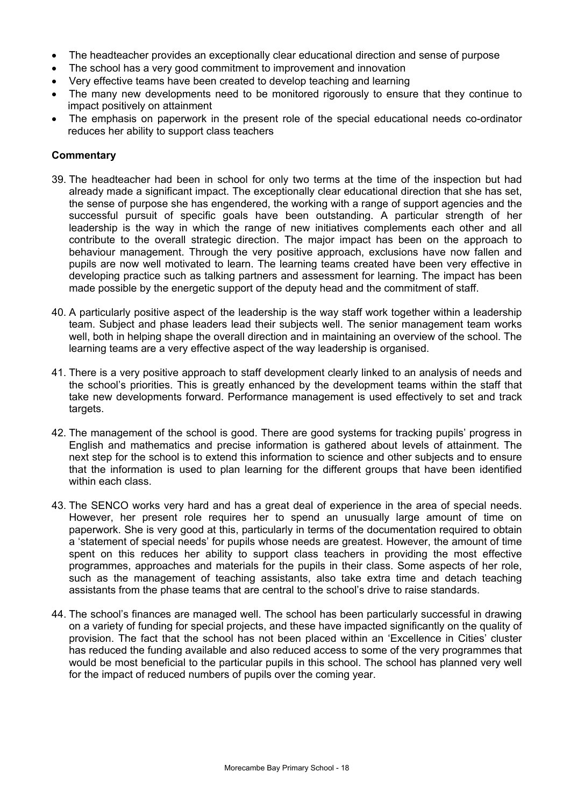- The headteacher provides an exceptionally clear educational direction and sense of purpose
- The school has a very good commitment to improvement and innovation
- Very effective teams have been created to develop teaching and learning
- The many new developments need to be monitored rigorously to ensure that they continue to impact positively on attainment
- The emphasis on paperwork in the present role of the special educational needs co-ordinator reduces her ability to support class teachers

- 39. The headteacher had been in school for only two terms at the time of the inspection but had already made a significant impact. The exceptionally clear educational direction that she has set, the sense of purpose she has engendered, the working with a range of support agencies and the successful pursuit of specific goals have been outstanding. A particular strength of her leadership is the way in which the range of new initiatives complements each other and all contribute to the overall strategic direction. The major impact has been on the approach to behaviour management. Through the very positive approach, exclusions have now fallen and pupils are now well motivated to learn. The learning teams created have been very effective in developing practice such as talking partners and assessment for learning. The impact has been made possible by the energetic support of the deputy head and the commitment of staff.
- 40. A particularly positive aspect of the leadership is the way staff work together within a leadership team. Subject and phase leaders lead their subjects well. The senior management team works well, both in helping shape the overall direction and in maintaining an overview of the school. The learning teams are a very effective aspect of the way leadership is organised.
- 41. There is a very positive approach to staff development clearly linked to an analysis of needs and the school's priorities. This is greatly enhanced by the development teams within the staff that take new developments forward. Performance management is used effectively to set and track targets.
- 42. The management of the school is good. There are good systems for tracking pupils' progress in English and mathematics and precise information is gathered about levels of attainment. The next step for the school is to extend this information to science and other subjects and to ensure that the information is used to plan learning for the different groups that have been identified within each class.
- 43. The SENCO works very hard and has a great deal of experience in the area of special needs. However, her present role requires her to spend an unusually large amount of time on paperwork. She is very good at this, particularly in terms of the documentation required to obtain a 'statement of special needs' for pupils whose needs are greatest. However, the amount of time spent on this reduces her ability to support class teachers in providing the most effective programmes, approaches and materials for the pupils in their class. Some aspects of her role, such as the management of teaching assistants, also take extra time and detach teaching assistants from the phase teams that are central to the school's drive to raise standards.
- 44. The school's finances are managed well. The school has been particularly successful in drawing on a variety of funding for special projects, and these have impacted significantly on the quality of provision. The fact that the school has not been placed within an 'Excellence in Cities' cluster has reduced the funding available and also reduced access to some of the very programmes that would be most beneficial to the particular pupils in this school. The school has planned very well for the impact of reduced numbers of pupils over the coming year.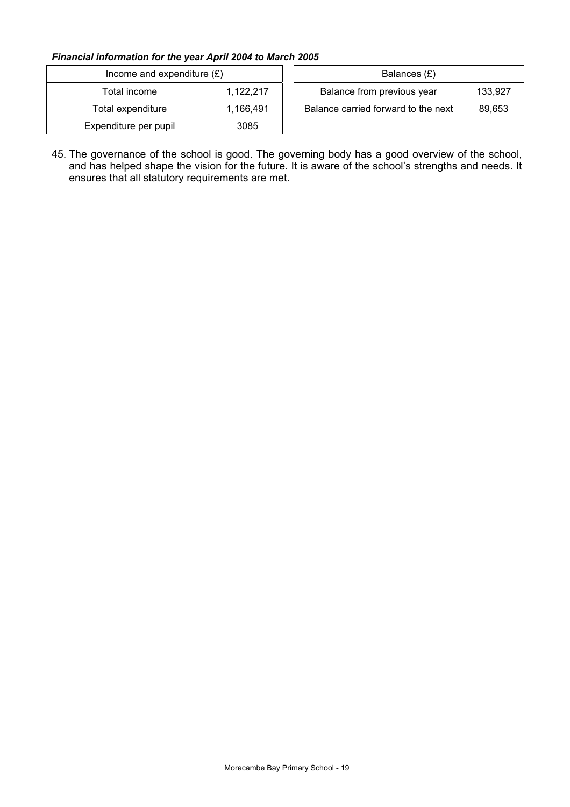### *Financial information for the year April 2004 to March 2005*

| Income and expenditure $(E)$ |           | Balances (£)                                  |  |
|------------------------------|-----------|-----------------------------------------------|--|
| Total income                 | 1,122,217 | 133,927<br>Balance from previous year         |  |
| Total expenditure            | 1.166.491 | Balance carried forward to the next<br>89,653 |  |
| Expenditure per pupil        | 3085      |                                               |  |

45. The governance of the school is good. The governing body has a good overview of the school, and has helped shape the vision for the future. It is aware of the school's strengths and needs. It ensures that all statutory requirements are met.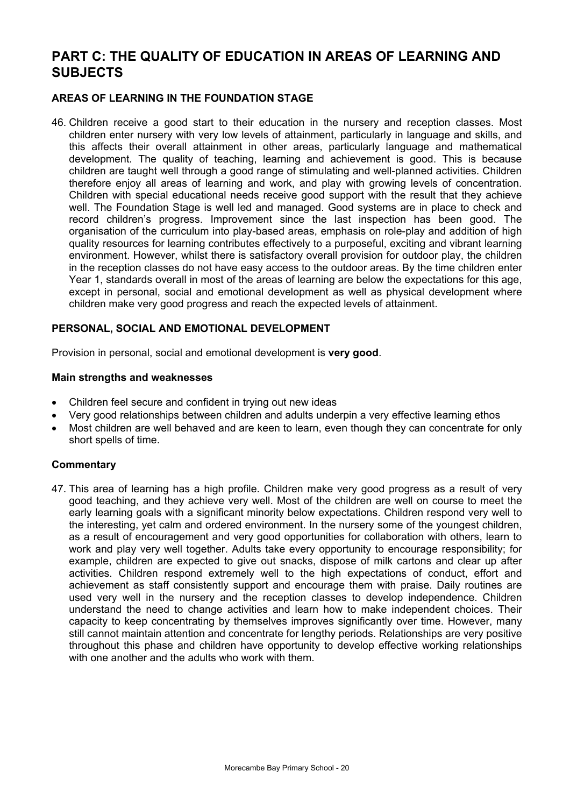## **PART C: THE QUALITY OF EDUCATION IN AREAS OF LEARNING AND SUBJECTS**

### **AREAS OF LEARNING IN THE FOUNDATION STAGE**

46. Children receive a good start to their education in the nursery and reception classes. Most children enter nursery with very low levels of attainment, particularly in language and skills, and this affects their overall attainment in other areas, particularly language and mathematical development. The quality of teaching, learning and achievement is good. This is because children are taught well through a good range of stimulating and well-planned activities. Children therefore enjoy all areas of learning and work, and play with growing levels of concentration. Children with special educational needs receive good support with the result that they achieve well. The Foundation Stage is well led and managed. Good systems are in place to check and record children's progress. Improvement since the last inspection has been good. The organisation of the curriculum into play-based areas, emphasis on role-play and addition of high quality resources for learning contributes effectively to a purposeful, exciting and vibrant learning environment. However, whilst there is satisfactory overall provision for outdoor play, the children in the reception classes do not have easy access to the outdoor areas. By the time children enter Year 1, standards overall in most of the areas of learning are below the expectations for this age, except in personal, social and emotional development as well as physical development where children make very good progress and reach the expected levels of attainment.

#### **PERSONAL, SOCIAL AND EMOTIONAL DEVELOPMENT**

Provision in personal, social and emotional development is **very good**.

#### **Main strengths and weaknesses**

- Children feel secure and confident in trying out new ideas
- Very good relationships between children and adults underpin a very effective learning ethos
- Most children are well behaved and are keen to learn, even though they can concentrate for only short spells of time.

#### **Commentary**

47. This area of learning has a high profile. Children make very good progress as a result of very good teaching, and they achieve very well. Most of the children are well on course to meet the early learning goals with a significant minority below expectations. Children respond very well to the interesting, yet calm and ordered environment. In the nursery some of the youngest children, as a result of encouragement and very good opportunities for collaboration with others, learn to work and play very well together. Adults take every opportunity to encourage responsibility; for example, children are expected to give out snacks, dispose of milk cartons and clear up after activities. Children respond extremely well to the high expectations of conduct, effort and achievement as staff consistently support and encourage them with praise. Daily routines are used very well in the nursery and the reception classes to develop independence. Children understand the need to change activities and learn how to make independent choices. Their capacity to keep concentrating by themselves improves significantly over time. However, many still cannot maintain attention and concentrate for lengthy periods. Relationships are very positive throughout this phase and children have opportunity to develop effective working relationships with one another and the adults who work with them.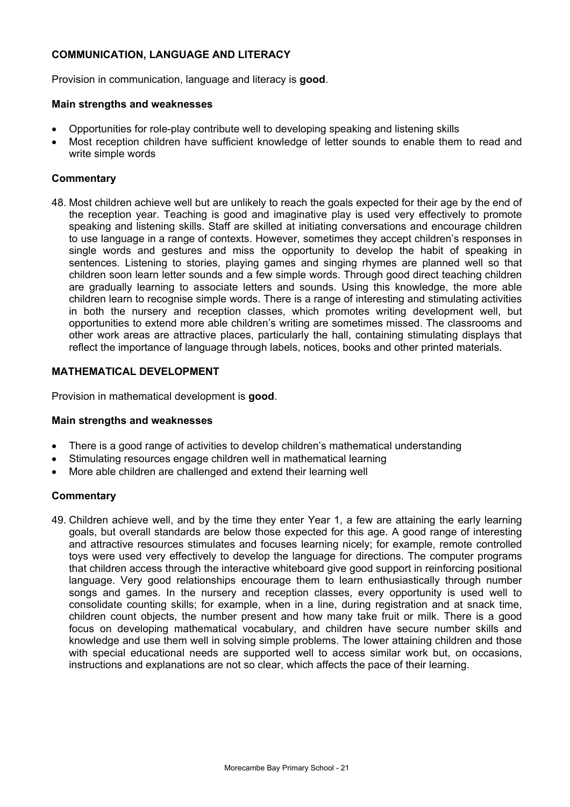### **COMMUNICATION, LANGUAGE AND LITERACY**

Provision in communication, language and literacy is **good**.

### **Main strengths and weaknesses**

- Opportunities for role-play contribute well to developing speaking and listening skills
- Most reception children have sufficient knowledge of letter sounds to enable them to read and write simple words

### **Commentary**

48. Most children achieve well but are unlikely to reach the goals expected for their age by the end of the reception year. Teaching is good and imaginative play is used very effectively to promote speaking and listening skills. Staff are skilled at initiating conversations and encourage children to use language in a range of contexts. However, sometimes they accept children's responses in single words and gestures and miss the opportunity to develop the habit of speaking in sentences. Listening to stories, playing games and singing rhymes are planned well so that children soon learn letter sounds and a few simple words. Through good direct teaching children are gradually learning to associate letters and sounds. Using this knowledge, the more able children learn to recognise simple words. There is a range of interesting and stimulating activities in both the nursery and reception classes, which promotes writing development well, but opportunities to extend more able children's writing are sometimes missed. The classrooms and other work areas are attractive places, particularly the hall, containing stimulating displays that reflect the importance of language through labels, notices, books and other printed materials.

### **MATHEMATICAL DEVELOPMENT**

Provision in mathematical development is **good**.

#### **Main strengths and weaknesses**

- There is a good range of activities to develop children's mathematical understanding
- Stimulating resources engage children well in mathematical learning
- More able children are challenged and extend their learning well

#### **Commentary**

49. Children achieve well, and by the time they enter Year 1, a few are attaining the early learning goals, but overall standards are below those expected for this age. A good range of interesting and attractive resources stimulates and focuses learning nicely; for example, remote controlled toys were used very effectively to develop the language for directions. The computer programs that children access through the interactive whiteboard give good support in reinforcing positional language. Very good relationships encourage them to learn enthusiastically through number songs and games. In the nursery and reception classes, every opportunity is used well to consolidate counting skills; for example, when in a line, during registration and at snack time, children count objects, the number present and how many take fruit or milk. There is a good focus on developing mathematical vocabulary, and children have secure number skills and knowledge and use them well in solving simple problems. The lower attaining children and those with special educational needs are supported well to access similar work but, on occasions, instructions and explanations are not so clear, which affects the pace of their learning.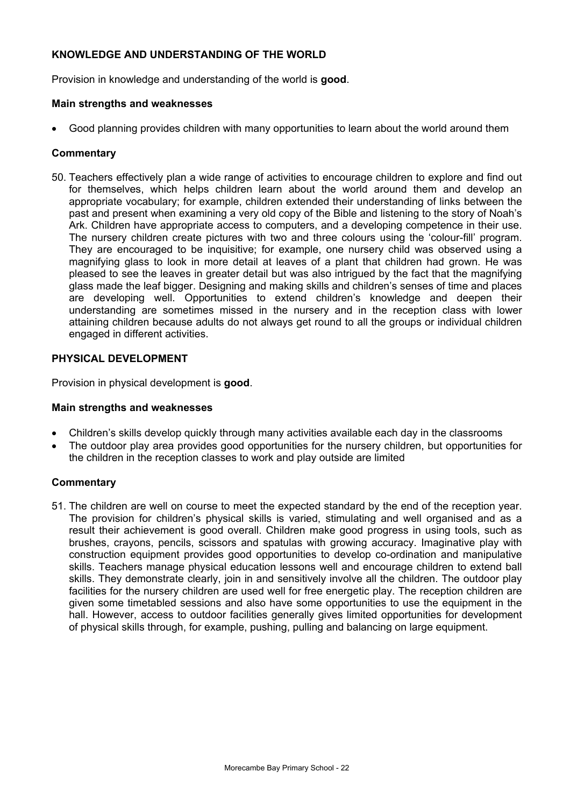### **KNOWLEDGE AND UNDERSTANDING OF THE WORLD**

Provision in knowledge and understanding of the world is **good**.

### **Main strengths and weaknesses**

• Good planning provides children with many opportunities to learn about the world around them

### **Commentary**

50. Teachers effectively plan a wide range of activities to encourage children to explore and find out for themselves, which helps children learn about the world around them and develop an appropriate vocabulary; for example, children extended their understanding of links between the past and present when examining a very old copy of the Bible and listening to the story of Noah's Ark. Children have appropriate access to computers, and a developing competence in their use. The nursery children create pictures with two and three colours using the 'colour-fill' program. They are encouraged to be inquisitive; for example, one nursery child was observed using a magnifying glass to look in more detail at leaves of a plant that children had grown. He was pleased to see the leaves in greater detail but was also intrigued by the fact that the magnifying glass made the leaf bigger. Designing and making skills and children's senses of time and places are developing well. Opportunities to extend children's knowledge and deepen their understanding are sometimes missed in the nursery and in the reception class with lower attaining children because adults do not always get round to all the groups or individual children engaged in different activities.

### **PHYSICAL DEVELOPMENT**

Provision in physical development is **good**.

### **Main strengths and weaknesses**

- Children's skills develop quickly through many activities available each day in the classrooms
- The outdoor play area provides good opportunities for the nursery children, but opportunities for the children in the reception classes to work and play outside are limited

### **Commentary**

51. The children are well on course to meet the expected standard by the end of the reception year. The provision for children's physical skills is varied, stimulating and well organised and as a result their achievement is good overall. Children make good progress in using tools, such as brushes, crayons, pencils, scissors and spatulas with growing accuracy. Imaginative play with construction equipment provides good opportunities to develop co-ordination and manipulative skills. Teachers manage physical education lessons well and encourage children to extend ball skills. They demonstrate clearly, join in and sensitively involve all the children. The outdoor play facilities for the nursery children are used well for free energetic play. The reception children are given some timetabled sessions and also have some opportunities to use the equipment in the hall. However, access to outdoor facilities generally gives limited opportunities for development of physical skills through, for example, pushing, pulling and balancing on large equipment.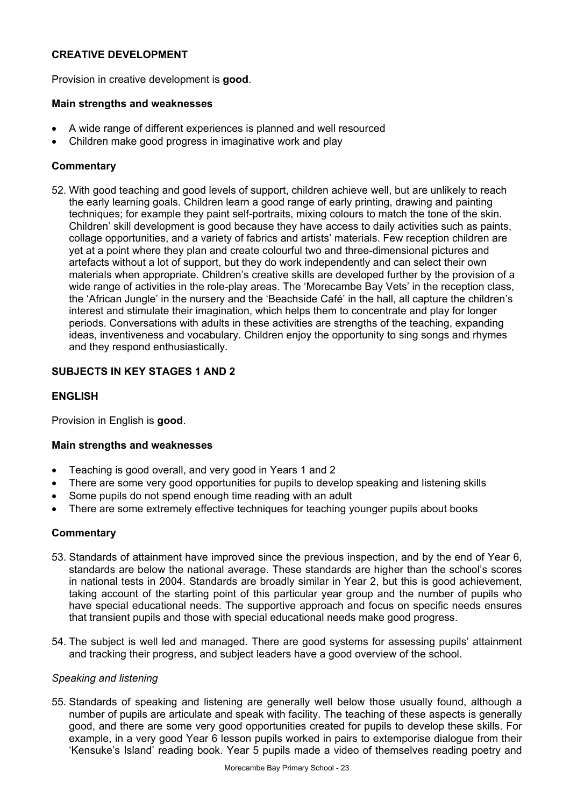### **CREATIVE DEVELOPMENT**

Provision in creative development is **good**.

### **Main strengths and weaknesses**

- A wide range of different experiences is planned and well resourced
- Children make good progress in imaginative work and play

### **Commentary**

52. With good teaching and good levels of support, children achieve well, but are unlikely to reach the early learning goals. Children learn a good range of early printing, drawing and painting techniques; for example they paint self-portraits, mixing colours to match the tone of the skin. Children' skill development is good because they have access to daily activities such as paints, collage opportunities, and a variety of fabrics and artists' materials. Few reception children are yet at a point where they plan and create colourful two and three-dimensional pictures and artefacts without a lot of support, but they do work independently and can select their own materials when appropriate. Children's creative skills are developed further by the provision of a wide range of activities in the role-play areas. The 'Morecambe Bay Vets' in the reception class, the 'African Jungle' in the nursery and the 'Beachside Café' in the hall, all capture the children's interest and stimulate their imagination, which helps them to concentrate and play for longer periods. Conversations with adults in these activities are strengths of the teaching, expanding ideas, inventiveness and vocabulary. Children enjoy the opportunity to sing songs and rhymes and they respond enthusiastically.

### **SUBJECTS IN KEY STAGES 1 AND 2**

### **ENGLISH**

Provision in English is **good**.

### **Main strengths and weaknesses**

- Teaching is good overall, and very good in Years 1 and 2
- There are some very good opportunities for pupils to develop speaking and listening skills
- Some pupils do not spend enough time reading with an adult
- There are some extremely effective techniques for teaching younger pupils about books

### **Commentary**

- 53. Standards of attainment have improved since the previous inspection, and by the end of Year 6, standards are below the national average. These standards are higher than the school's scores in national tests in 2004. Standards are broadly similar in Year 2, but this is good achievement, taking account of the starting point of this particular year group and the number of pupils who have special educational needs. The supportive approach and focus on specific needs ensures that transient pupils and those with special educational needs make good progress.
- 54. The subject is well led and managed. There are good systems for assessing pupils' attainment and tracking their progress, and subject leaders have a good overview of the school.

#### *Speaking and listening*

55. Standards of speaking and listening are generally well below those usually found, although a number of pupils are articulate and speak with facility. The teaching of these aspects is generally good, and there are some very good opportunities created for pupils to develop these skills. For example, in a very good Year 6 lesson pupils worked in pairs to extemporise dialogue from their 'Kensuke's Island' reading book. Year 5 pupils made a video of themselves reading poetry and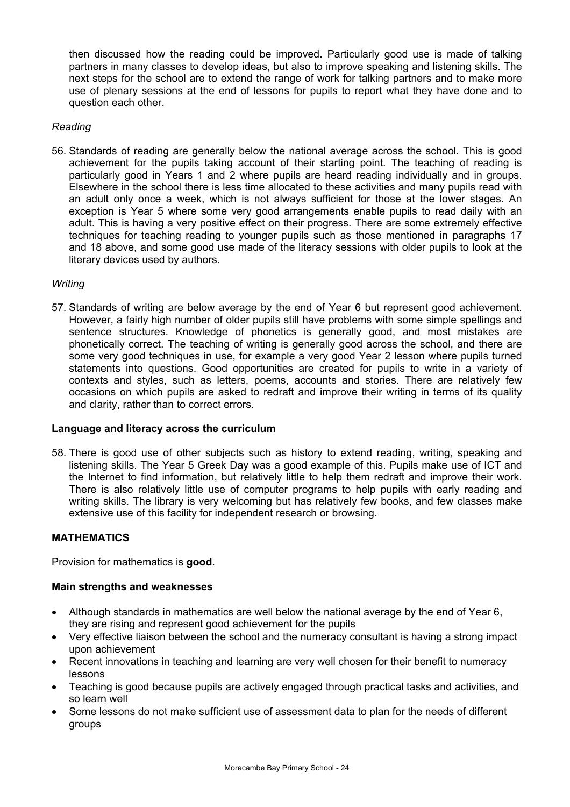then discussed how the reading could be improved. Particularly good use is made of talking partners in many classes to develop ideas, but also to improve speaking and listening skills. The next steps for the school are to extend the range of work for talking partners and to make more use of plenary sessions at the end of lessons for pupils to report what they have done and to question each other.

### *Reading*

56. Standards of reading are generally below the national average across the school. This is good achievement for the pupils taking account of their starting point. The teaching of reading is particularly good in Years 1 and 2 where pupils are heard reading individually and in groups. Elsewhere in the school there is less time allocated to these activities and many pupils read with an adult only once a week, which is not always sufficient for those at the lower stages. An exception is Year 5 where some very good arrangements enable pupils to read daily with an adult. This is having a very positive effect on their progress. There are some extremely effective techniques for teaching reading to younger pupils such as those mentioned in paragraphs 17 and 18 above, and some good use made of the literacy sessions with older pupils to look at the literary devices used by authors.

### *Writing*

57. Standards of writing are below average by the end of Year 6 but represent good achievement. However, a fairly high number of older pupils still have problems with some simple spellings and sentence structures. Knowledge of phonetics is generally good, and most mistakes are phonetically correct. The teaching of writing is generally good across the school, and there are some very good techniques in use, for example a very good Year 2 lesson where pupils turned statements into questions. Good opportunities are created for pupils to write in a variety of contexts and styles, such as letters, poems, accounts and stories. There are relatively few occasions on which pupils are asked to redraft and improve their writing in terms of its quality and clarity, rather than to correct errors.

#### **Language and literacy across the curriculum**

58. There is good use of other subjects such as history to extend reading, writing, speaking and listening skills. The Year 5 Greek Day was a good example of this. Pupils make use of ICT and the Internet to find information, but relatively little to help them redraft and improve their work. There is also relatively little use of computer programs to help pupils with early reading and writing skills. The library is very welcoming but has relatively few books, and few classes make extensive use of this facility for independent research or browsing.

### **MATHEMATICS**

Provision for mathematics is **good**.

#### **Main strengths and weaknesses**

- Although standards in mathematics are well below the national average by the end of Year 6, they are rising and represent good achievement for the pupils
- Very effective liaison between the school and the numeracy consultant is having a strong impact upon achievement
- Recent innovations in teaching and learning are very well chosen for their benefit to numeracy lessons
- Teaching is good because pupils are actively engaged through practical tasks and activities, and so learn well
- Some lessons do not make sufficient use of assessment data to plan for the needs of different groups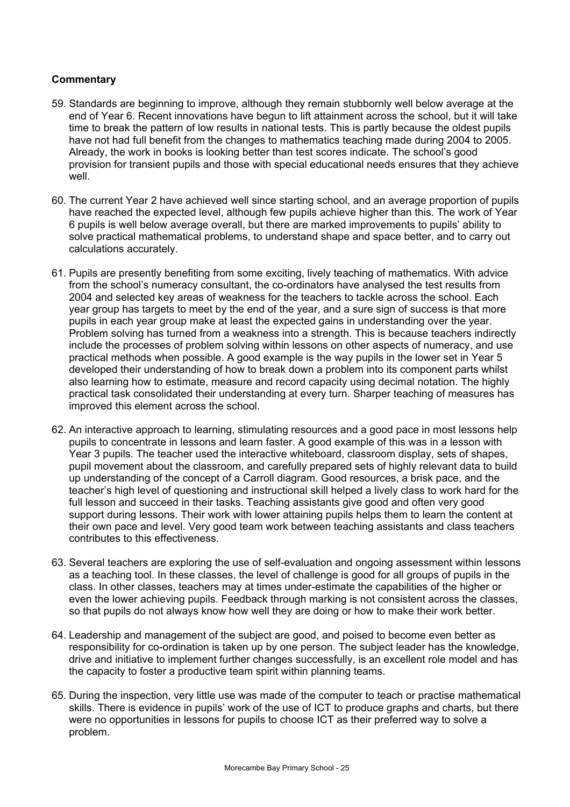- 59. Standards are beginning to improve, although they remain stubbornly well below average at the end of Year 6. Recent innovations have begun to lift attainment across the school, but it will take time to break the pattern of low results in national tests. This is partly because the oldest pupils have not had full benefit from the changes to mathematics teaching made during 2004 to 2005. Already, the work in books is looking better than test scores indicate. The school's good provision for transient pupils and those with special educational needs ensures that they achieve well.
- 60. The current Year 2 have achieved well since starting school, and an average proportion of pupils have reached the expected level, although few pupils achieve higher than this. The work of Year 6 pupils is well below average overall, but there are marked improvements to pupils' ability to solve practical mathematical problems, to understand shape and space better, and to carry out calculations accurately.
- 61. Pupils are presently benefiting from some exciting, lively teaching of mathematics. With advice from the school's numeracy consultant, the co-ordinators have analysed the test results from 2004 and selected key areas of weakness for the teachers to tackle across the school. Each year group has targets to meet by the end of the year, and a sure sign of success is that more pupils in each year group make at least the expected gains in understanding over the year. Problem solving has turned from a weakness into a strength. This is because teachers indirectly include the processes of problem solving within lessons on other aspects of numeracy, and use practical methods when possible. A good example is the way pupils in the lower set in Year 5 developed their understanding of how to break down a problem into its component parts whilst also learning how to estimate, measure and record capacity using decimal notation. The highly practical task consolidated their understanding at every turn. Sharper teaching of measures has improved this element across the school.
- 62. An interactive approach to learning, stimulating resources and a good pace in most lessons help pupils to concentrate in lessons and learn faster. A good example of this was in a lesson with Year 3 pupils. The teacher used the interactive whiteboard, classroom display, sets of shapes, pupil movement about the classroom, and carefully prepared sets of highly relevant data to build up understanding of the concept of a Carroll diagram. Good resources, a brisk pace, and the teacher's high level of questioning and instructional skill helped a lively class to work hard for the full lesson and succeed in their tasks. Teaching assistants give good and often very good support during lessons. Their work with lower attaining pupils helps them to learn the content at their own pace and level. Very good team work between teaching assistants and class teachers contributes to this effectiveness.
- 63. Several teachers are exploring the use of self-evaluation and ongoing assessment within lessons as a teaching tool. In these classes, the level of challenge is good for all groups of pupils in the class. In other classes, teachers may at times under-estimate the capabilities of the higher or even the lower achieving pupils. Feedback through marking is not consistent across the classes, so that pupils do not always know how well they are doing or how to make their work better.
- 64. Leadership and management of the subject are good, and poised to become even better as responsibility for co-ordination is taken up by one person. The subject leader has the knowledge, drive and initiative to implement further changes successfully, is an excellent role model and has the capacity to foster a productive team spirit within planning teams.
- 65. During the inspection, very little use was made of the computer to teach or practise mathematical skills. There is evidence in pupils' work of the use of ICT to produce graphs and charts, but there were no opportunities in lessons for pupils to choose ICT as their preferred way to solve a problem.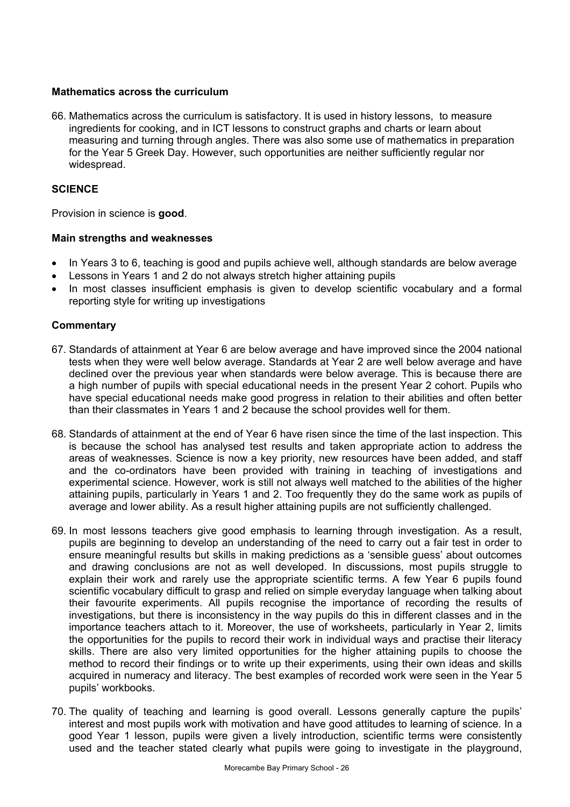### **Mathematics across the curriculum**

66. Mathematics across the curriculum is satisfactory. It is used in history lessons, to measure ingredients for cooking, and in ICT lessons to construct graphs and charts or learn about measuring and turning through angles. There was also some use of mathematics in preparation for the Year 5 Greek Day. However, such opportunities are neither sufficiently regular nor widespread.

### **SCIENCE**

Provision in science is **good**.

### **Main strengths and weaknesses**

- In Years 3 to 6, teaching is good and pupils achieve well, although standards are below average
- Lessons in Years 1 and 2 do not always stretch higher attaining pupils
- In most classes insufficient emphasis is given to develop scientific vocabulary and a formal reporting style for writing up investigations

- 67. Standards of attainment at Year 6 are below average and have improved since the 2004 national tests when they were well below average. Standards at Year 2 are well below average and have declined over the previous year when standards were below average. This is because there are a high number of pupils with special educational needs in the present Year 2 cohort. Pupils who have special educational needs make good progress in relation to their abilities and often better than their classmates in Years 1 and 2 because the school provides well for them.
- 68. Standards of attainment at the end of Year 6 have risen since the time of the last inspection. This is because the school has analysed test results and taken appropriate action to address the areas of weaknesses. Science is now a key priority, new resources have been added, and staff and the co-ordinators have been provided with training in teaching of investigations and experimental science. However, work is still not always well matched to the abilities of the higher attaining pupils, particularly in Years 1 and 2. Too frequently they do the same work as pupils of average and lower ability. As a result higher attaining pupils are not sufficiently challenged.
- 69. In most lessons teachers give good emphasis to learning through investigation. As a result, pupils are beginning to develop an understanding of the need to carry out a fair test in order to ensure meaningful results but skills in making predictions as a 'sensible guess' about outcomes and drawing conclusions are not as well developed. In discussions, most pupils struggle to explain their work and rarely use the appropriate scientific terms. A few Year 6 pupils found scientific vocabulary difficult to grasp and relied on simple everyday language when talking about their favourite experiments. All pupils recognise the importance of recording the results of investigations, but there is inconsistency in the way pupils do this in different classes and in the importance teachers attach to it. Moreover, the use of worksheets, particularly in Year 2, limits the opportunities for the pupils to record their work in individual ways and practise their literacy skills. There are also very limited opportunities for the higher attaining pupils to choose the method to record their findings or to write up their experiments, using their own ideas and skills acquired in numeracy and literacy. The best examples of recorded work were seen in the Year 5 pupils' workbooks.
- 70. The quality of teaching and learning is good overall. Lessons generally capture the pupils' interest and most pupils work with motivation and have good attitudes to learning of science. In a good Year 1 lesson, pupils were given a lively introduction, scientific terms were consistently used and the teacher stated clearly what pupils were going to investigate in the playground,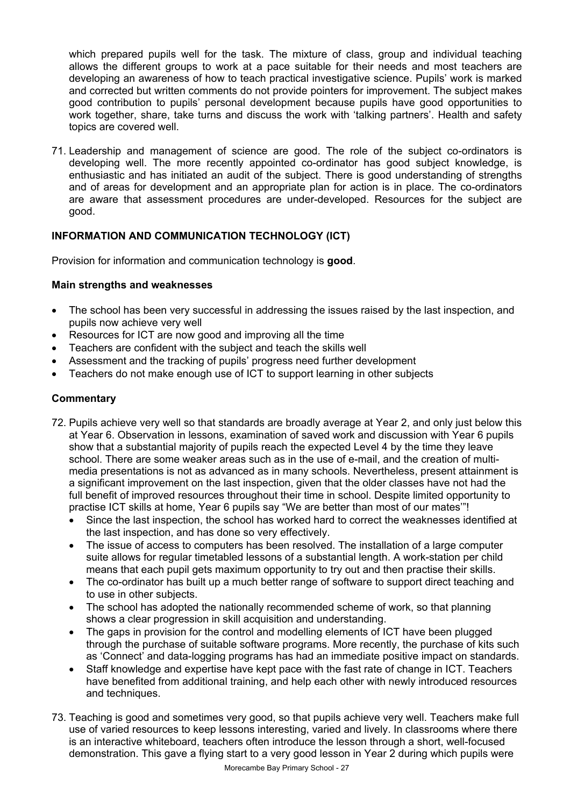which prepared pupils well for the task. The mixture of class, group and individual teaching allows the different groups to work at a pace suitable for their needs and most teachers are developing an awareness of how to teach practical investigative science. Pupils' work is marked and corrected but written comments do not provide pointers for improvement. The subject makes good contribution to pupils' personal development because pupils have good opportunities to work together, share, take turns and discuss the work with 'talking partners'. Health and safety topics are covered well.

71. Leadership and management of science are good. The role of the subject co-ordinators is developing well. The more recently appointed co-ordinator has good subject knowledge, is enthusiastic and has initiated an audit of the subject. There is good understanding of strengths and of areas for development and an appropriate plan for action is in place. The co-ordinators are aware that assessment procedures are under-developed. Resources for the subject are good.

### **INFORMATION AND COMMUNICATION TECHNOLOGY (ICT)**

Provision for information and communication technology is **good**.

### **Main strengths and weaknesses**

- The school has been very successful in addressing the issues raised by the last inspection, and pupils now achieve very well
- Resources for ICT are now good and improving all the time
- Teachers are confident with the subject and teach the skills well
- Assessment and the tracking of pupils' progress need further development
- Teachers do not make enough use of ICT to support learning in other subjects

- 72. Pupils achieve very well so that standards are broadly average at Year 2, and only just below this at Year 6. Observation in lessons, examination of saved work and discussion with Year 6 pupils show that a substantial majority of pupils reach the expected Level 4 by the time they leave school. There are some weaker areas such as in the use of e-mail, and the creation of multimedia presentations is not as advanced as in many schools. Nevertheless, present attainment is a significant improvement on the last inspection, given that the older classes have not had the full benefit of improved resources throughout their time in school. Despite limited opportunity to practise ICT skills at home, Year 6 pupils say "We are better than most of our mates'"!
	- Since the last inspection, the school has worked hard to correct the weaknesses identified at the last inspection, and has done so very effectively.
	- The issue of access to computers has been resolved. The installation of a large computer suite allows for regular timetabled lessons of a substantial length. A work-station per child means that each pupil gets maximum opportunity to try out and then practise their skills.
	- The co-ordinator has built up a much better range of software to support direct teaching and to use in other subjects.
	- The school has adopted the nationally recommended scheme of work, so that planning shows a clear progression in skill acquisition and understanding.
	- The gaps in provision for the control and modelling elements of ICT have been plugged through the purchase of suitable software programs. More recently, the purchase of kits such as 'Connect' and data-logging programs has had an immediate positive impact on standards.
	- Staff knowledge and expertise have kept pace with the fast rate of change in ICT. Teachers have benefited from additional training, and help each other with newly introduced resources and techniques.
- 73. Teaching is good and sometimes very good, so that pupils achieve very well. Teachers make full use of varied resources to keep lessons interesting, varied and lively. In classrooms where there is an interactive whiteboard, teachers often introduce the lesson through a short, well-focused demonstration. This gave a flying start to a very good lesson in Year 2 during which pupils were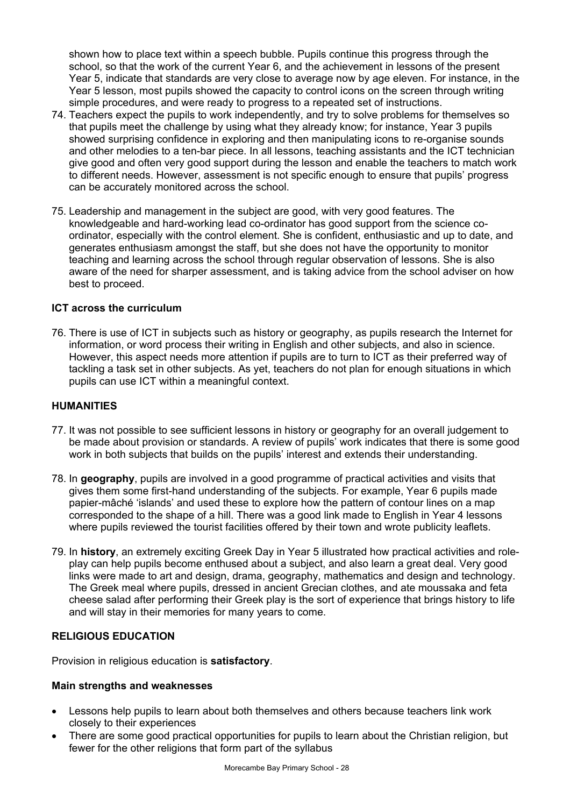shown how to place text within a speech bubble. Pupils continue this progress through the school, so that the work of the current Year 6, and the achievement in lessons of the present Year 5, indicate that standards are very close to average now by age eleven. For instance, in the Year 5 lesson, most pupils showed the capacity to control icons on the screen through writing simple procedures, and were ready to progress to a repeated set of instructions.

- 74. Teachers expect the pupils to work independently, and try to solve problems for themselves so that pupils meet the challenge by using what they already know; for instance, Year 3 pupils showed surprising confidence in exploring and then manipulating icons to re-organise sounds and other melodies to a ten-bar piece. In all lessons, teaching assistants and the ICT technician give good and often very good support during the lesson and enable the teachers to match work to different needs. However, assessment is not specific enough to ensure that pupils' progress can be accurately monitored across the school.
- 75. Leadership and management in the subject are good, with very good features. The knowledgeable and hard-working lead co-ordinator has good support from the science coordinator, especially with the control element. She is confident, enthusiastic and up to date, and generates enthusiasm amongst the staff, but she does not have the opportunity to monitor teaching and learning across the school through regular observation of lessons. She is also aware of the need for sharper assessment, and is taking advice from the school adviser on how best to proceed.

### **ICT across the curriculum**

76. There is use of ICT in subjects such as history or geography, as pupils research the Internet for information, or word process their writing in English and other subjects, and also in science. However, this aspect needs more attention if pupils are to turn to ICT as their preferred way of tackling a task set in other subjects. As yet, teachers do not plan for enough situations in which pupils can use ICT within a meaningful context.

#### **HUMANITIES**

- 77. It was not possible to see sufficient lessons in history or geography for an overall judgement to be made about provision or standards. A review of pupils' work indicates that there is some good work in both subjects that builds on the pupils' interest and extends their understanding.
- 78. In **geography**, pupils are involved in a good programme of practical activities and visits that gives them some first-hand understanding of the subjects. For example, Year 6 pupils made papier-mâché 'islands' and used these to explore how the pattern of contour lines on a map corresponded to the shape of a hill. There was a good link made to English in Year 4 lessons where pupils reviewed the tourist facilities offered by their town and wrote publicity leaflets.
- 79. In **history**, an extremely exciting Greek Day in Year 5 illustrated how practical activities and roleplay can help pupils become enthused about a subject, and also learn a great deal. Very good links were made to art and design, drama, geography, mathematics and design and technology. The Greek meal where pupils, dressed in ancient Grecian clothes, and ate moussaka and feta cheese salad after performing their Greek play is the sort of experience that brings history to life and will stay in their memories for many years to come.

### **RELIGIOUS EDUCATION**

Provision in religious education is **satisfactory**.

#### **Main strengths and weaknesses**

- Lessons help pupils to learn about both themselves and others because teachers link work closely to their experiences
- There are some good practical opportunities for pupils to learn about the Christian religion, but fewer for the other religions that form part of the syllabus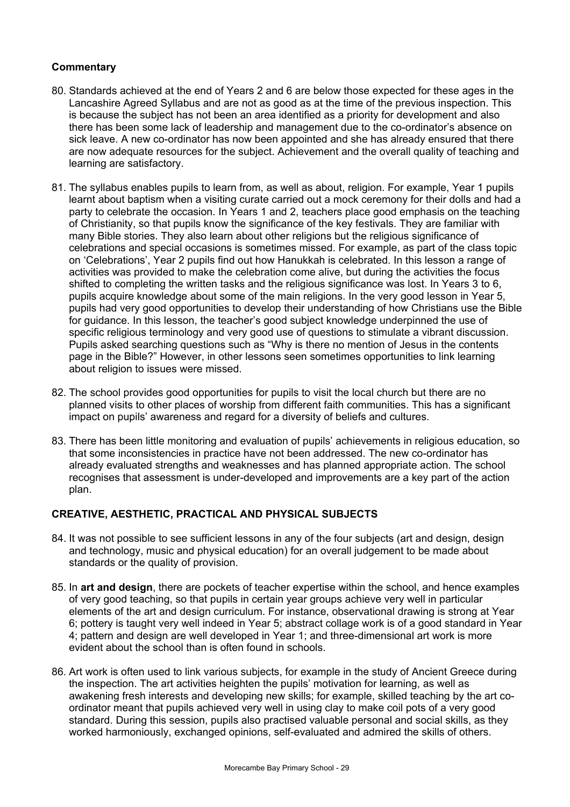### **Commentary**

- 80. Standards achieved at the end of Years 2 and 6 are below those expected for these ages in the Lancashire Agreed Syllabus and are not as good as at the time of the previous inspection. This is because the subject has not been an area identified as a priority for development and also there has been some lack of leadership and management due to the co-ordinator's absence on sick leave. A new co-ordinator has now been appointed and she has already ensured that there are now adequate resources for the subject. Achievement and the overall quality of teaching and learning are satisfactory.
- 81. The syllabus enables pupils to learn from, as well as about, religion. For example, Year 1 pupils learnt about baptism when a visiting curate carried out a mock ceremony for their dolls and had a party to celebrate the occasion. In Years 1 and 2, teachers place good emphasis on the teaching of Christianity, so that pupils know the significance of the key festivals. They are familiar with many Bible stories. They also learn about other religions but the religious significance of celebrations and special occasions is sometimes missed. For example, as part of the class topic on 'Celebrations', Year 2 pupils find out how Hanukkah is celebrated. In this lesson a range of activities was provided to make the celebration come alive, but during the activities the focus shifted to completing the written tasks and the religious significance was lost. In Years 3 to 6, pupils acquire knowledge about some of the main religions. In the very good lesson in Year 5, pupils had very good opportunities to develop their understanding of how Christians use the Bible for guidance. In this lesson, the teacher's good subject knowledge underpinned the use of specific religious terminology and very good use of questions to stimulate a vibrant discussion. Pupils asked searching questions such as "Why is there no mention of Jesus in the contents page in the Bible?" However, in other lessons seen sometimes opportunities to link learning about religion to issues were missed.
- 82. The school provides good opportunities for pupils to visit the local church but there are no planned visits to other places of worship from different faith communities. This has a significant impact on pupils' awareness and regard for a diversity of beliefs and cultures.
- 83. There has been little monitoring and evaluation of pupils' achievements in religious education, so that some inconsistencies in practice have not been addressed. The new co-ordinator has already evaluated strengths and weaknesses and has planned appropriate action. The school recognises that assessment is under-developed and improvements are a key part of the action plan.

### **CREATIVE, AESTHETIC, PRACTICAL AND PHYSICAL SUBJECTS**

- 84. It was not possible to see sufficient lessons in any of the four subjects (art and design, design and technology, music and physical education) for an overall judgement to be made about standards or the quality of provision.
- 85. In **art and design**, there are pockets of teacher expertise within the school, and hence examples of very good teaching, so that pupils in certain year groups achieve very well in particular elements of the art and design curriculum. For instance, observational drawing is strong at Year 6; pottery is taught very well indeed in Year 5; abstract collage work is of a good standard in Year 4; pattern and design are well developed in Year 1; and three-dimensional art work is more evident about the school than is often found in schools.
- 86. Art work is often used to link various subjects, for example in the study of Ancient Greece during the inspection. The art activities heighten the pupils' motivation for learning, as well as awakening fresh interests and developing new skills; for example, skilled teaching by the art coordinator meant that pupils achieved very well in using clay to make coil pots of a very good standard. During this session, pupils also practised valuable personal and social skills, as they worked harmoniously, exchanged opinions, self-evaluated and admired the skills of others.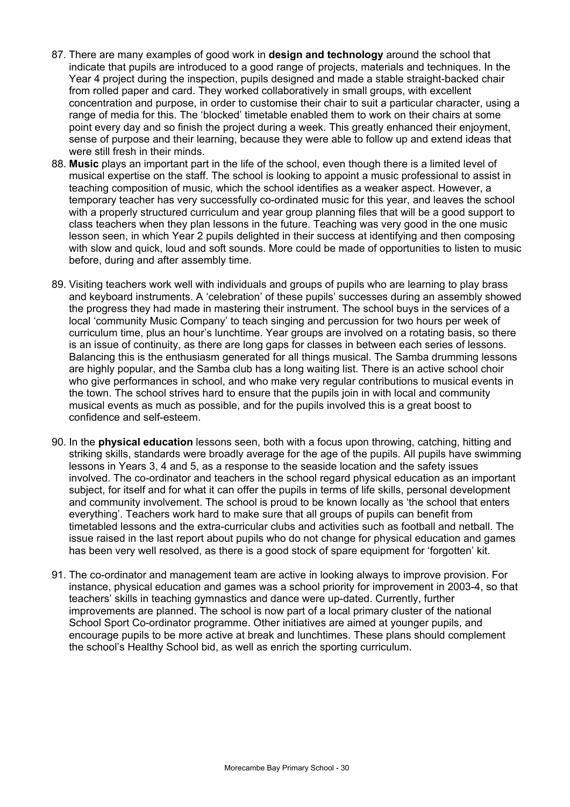- 87. There are many examples of good work in **design and technology** around the school that indicate that pupils are introduced to a good range of projects, materials and techniques. In the Year 4 project during the inspection, pupils designed and made a stable straight-backed chair from rolled paper and card. They worked collaboratively in small groups, with excellent concentration and purpose, in order to customise their chair to suit a particular character, using a range of media for this. The 'blocked' timetable enabled them to work on their chairs at some point every day and so finish the project during a week. This greatly enhanced their enjoyment, sense of purpose and their learning, because they were able to follow up and extend ideas that were still fresh in their minds.
- 88. **Music** plays an important part in the life of the school, even though there is a limited level of musical expertise on the staff. The school is looking to appoint a music professional to assist in teaching composition of music, which the school identifies as a weaker aspect. However, a temporary teacher has very successfully co-ordinated music for this year, and leaves the school with a properly structured curriculum and year group planning files that will be a good support to class teachers when they plan lessons in the future. Teaching was very good in the one music lesson seen, in which Year 2 pupils delighted in their success at identifying and then composing with slow and quick, loud and soft sounds. More could be made of opportunities to listen to music before, during and after assembly time.
- 89. Visiting teachers work well with individuals and groups of pupils who are learning to play brass and keyboard instruments. A 'celebration' of these pupils' successes during an assembly showed the progress they had made in mastering their instrument. The school buys in the services of a local 'community Music Company' to teach singing and percussion for two hours per week of curriculum time, plus an hour's lunchtime. Year groups are involved on a rotating basis, so there is an issue of continuity, as there are long gaps for classes in between each series of lessons. Balancing this is the enthusiasm generated for all things musical. The Samba drumming lessons are highly popular, and the Samba club has a long waiting list. There is an active school choir who give performances in school, and who make very regular contributions to musical events in the town. The school strives hard to ensure that the pupils join in with local and community musical events as much as possible, and for the pupils involved this is a great boost to confidence and self-esteem.
- 90. In the **physical education** lessons seen, both with a focus upon throwing, catching, hitting and striking skills, standards were broadly average for the age of the pupils. All pupils have swimming lessons in Years 3, 4 and 5, as a response to the seaside location and the safety issues involved. The co-ordinator and teachers in the school regard physical education as an important subject, for itself and for what it can offer the pupils in terms of life skills, personal development and community involvement. The school is proud to be known locally as 'the school that enters everything'. Teachers work hard to make sure that all groups of pupils can benefit from timetabled lessons and the extra-curricular clubs and activities such as football and netball. The issue raised in the last report about pupils who do not change for physical education and games has been very well resolved, as there is a good stock of spare equipment for 'forgotten' kit.
- 91. The co-ordinator and management team are active in looking always to improve provision. For instance, physical education and games was a school priority for improvement in 2003-4, so that teachers' skills in teaching gymnastics and dance were up-dated. Currently, further improvements are planned. The school is now part of a local primary cluster of the national School Sport Co-ordinator programme. Other initiatives are aimed at younger pupils, and encourage pupils to be more active at break and lunchtimes. These plans should complement the school's Healthy School bid, as well as enrich the sporting curriculum.